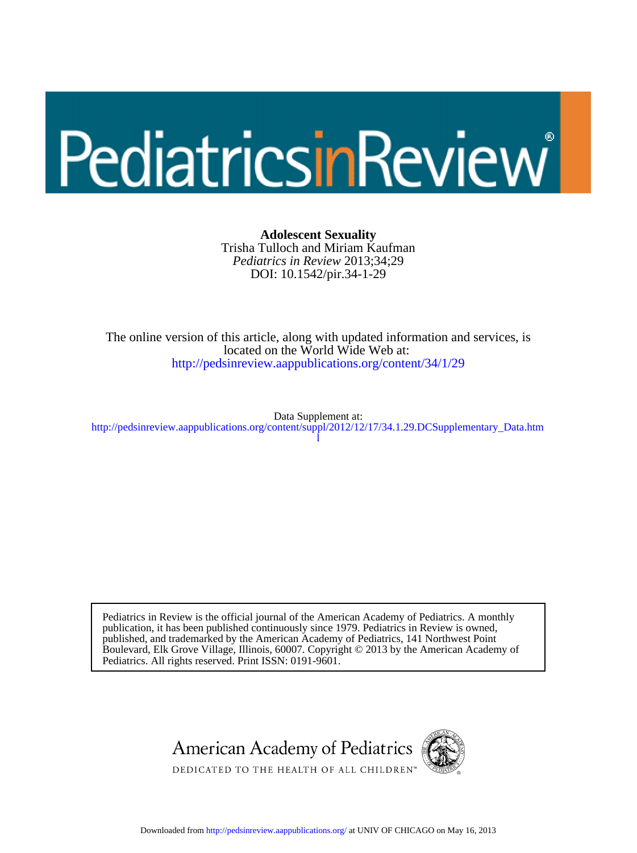# PediatricsinReview

DOI: 10.1542/pir.34-1-29 *Pediatrics in Review* 2013;34;29 Trisha Tulloch and Miriam Kaufman **Adolescent Sexuality**

<http://pedsinreview.aappublications.org/content/34/1/29> located on the World Wide Web at: The online version of this article, along with updated information and services, is

l http://pedsinreview.aappublications.org/content/suppl/2012/12/17/34.1.29.DCSupplementary\_Data.htm Data Supplement at:

Pediatrics. All rights reserved. Print ISSN: 0191-9601. Boulevard, Elk Grove Village, Illinois, 60007. Copyright © 2013 by the American Academy of published, and trademarked by the American Academy of Pediatrics, 141 Northwest Point publication, it has been published continuously since 1979. Pediatrics in Review is owned, Pediatrics in Review is the official journal of the American Academy of Pediatrics. A monthly



Downloaded from<http://pedsinreview.aappublications.org/>at UNIV OF CHICAGO on May 16, 2013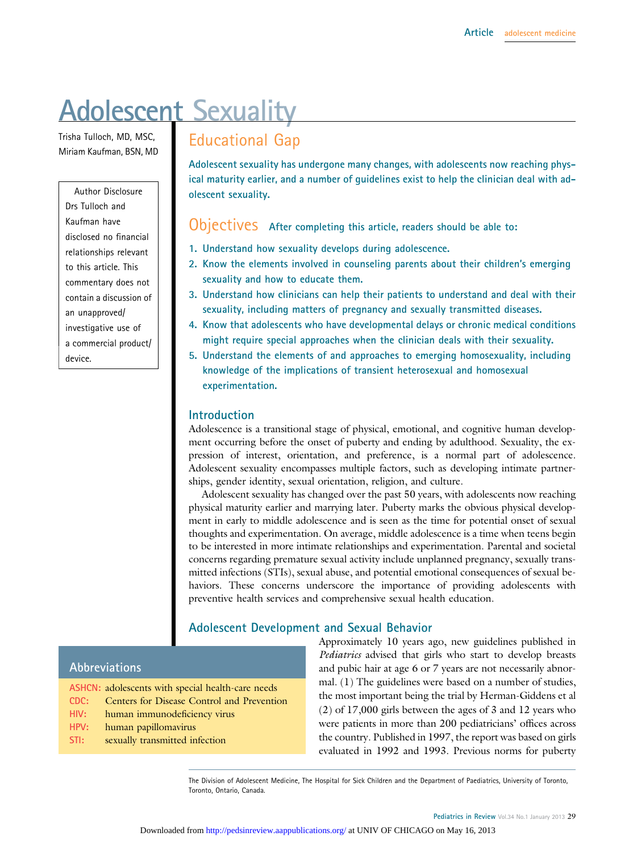## Adolescent Sexuality

Trisha Tulloch, MD, MSC, Miriam Kaufman, BSN, MD

Author Disclosure Drs Tulloch and Kaufman have disclosed no financial relationships relevant to this article. This commentary does not contain a discussion of an unapproved/ investigative use of a commercial product/ device.

### Educational Gap

Adolescent sexuality has undergone many changes, with adolescents now reaching physical maturity earlier, and a number of guidelines exist to help the clinician deal with adolescent sexuality.

Objectives After completing this article, readers should be able to:

- 1. Understand how sexuality develops during adolescence.
- 2. Know the elements involved in counseling parents about their children's emerging sexuality and how to educate them.
- 3. Understand how clinicians can help their patients to understand and deal with their sexuality, including matters of pregnancy and sexually transmitted diseases.
- 4. Know that adolescents who have developmental delays or chronic medical conditions might require special approaches when the clinician deals with their sexuality.
- 5. Understand the elements of and approaches to emerging homosexuality, including knowledge of the implications of transient heterosexual and homosexual experimentation.

#### Introduction

Adolescence is a transitional stage of physical, emotional, and cognitive human development occurring before the onset of puberty and ending by adulthood. Sexuality, the expression of interest, orientation, and preference, is a normal part of adolescence. Adolescent sexuality encompasses multiple factors, such as developing intimate partnerships, gender identity, sexual orientation, religion, and culture.

Adolescent sexuality has changed over the past 50 years, with adolescents now reaching physical maturity earlier and marrying later. Puberty marks the obvious physical development in early to middle adolescence and is seen as the time for potential onset of sexual thoughts and experimentation. On average, middle adolescence is a time when teens begin to be interested in more intimate relationships and experimentation. Parental and societal concerns regarding premature sexual activity include unplanned pregnancy, sexually transmitted infections (STIs), sexual abuse, and potential emotional consequences of sexual behaviors. These concerns underscore the importance of providing adolescents with preventive health services and comprehensive sexual health education.

#### Adolescent Development and Sexual Behavior

#### Abbreviations

| Centers for Disease Control and Prevention |
|--------------------------------------------|
|                                            |
|                                            |
|                                            |
|                                            |

Approximately 10 years ago, new guidelines published in Pediatrics advised that girls who start to develop breasts and pubic hair at age 6 or 7 years are not necessarily abnormal. (1) The guidelines were based on a number of studies, the most important being the trial by Herman-Giddens et al (2) of 17,000 girls between the ages of 3 and 12 years who were patients in more than 200 pediatricians' offices across the country. Published in 1997, the report was based on girls evaluated in 1992 and 1993. Previous norms for puberty

The Division of Adolescent Medicine, The Hospital for Sick Children and the Department of Paediatrics, University of Toronto, Toronto, Ontario, Canada.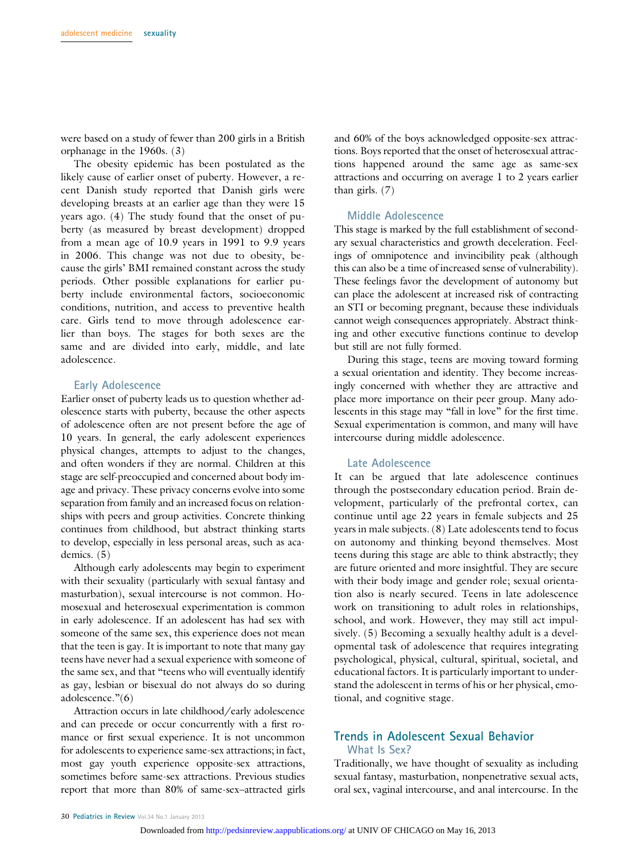were based on a study of fewer than 200 girls in a British orphanage in the 1960s. (3)

The obesity epidemic has been postulated as the likely cause of earlier onset of puberty. However, a recent Danish study reported that Danish girls were developing breasts at an earlier age than they were 15 years ago. (4) The study found that the onset of puberty (as measured by breast development) dropped from a mean age of 10.9 years in 1991 to 9.9 years in 2006. This change was not due to obesity, because the girls' BMI remained constant across the study periods. Other possible explanations for earlier puberty include environmental factors, socioeconomic conditions, nutrition, and access to preventive health care. Girls tend to move through adolescence earlier than boys. The stages for both sexes are the same and are divided into early, middle, and late adolescence.

#### Early Adolescence

Earlier onset of puberty leads us to question whether adolescence starts with puberty, because the other aspects of adolescence often are not present before the age of 10 years. In general, the early adolescent experiences physical changes, attempts to adjust to the changes, and often wonders if they are normal. Children at this stage are self-preoccupied and concerned about body image and privacy. These privacy concerns evolve into some separation from family and an increased focus on relationships with peers and group activities. Concrete thinking continues from childhood, but abstract thinking starts to develop, especially in less personal areas, such as academics. (5)

Although early adolescents may begin to experiment with their sexuality (particularly with sexual fantasy and masturbation), sexual intercourse is not common. Homosexual and heterosexual experimentation is common in early adolescence. If an adolescent has had sex with someone of the same sex, this experience does not mean that the teen is gay. It is important to note that many gay teens have never had a sexual experience with someone of the same sex, and that "teens who will eventually identify as gay, lesbian or bisexual do not always do so during adolescence."(6)

Attraction occurs in late childhood/early adolescence and can precede or occur concurrently with a first romance or first sexual experience. It is not uncommon for adolescents to experience same-sex attractions; in fact, most gay youth experience opposite-sex attractions, sometimes before same-sex attractions. Previous studies report that more than 80% of same-sex–attracted girls and 60% of the boys acknowledged opposite-sex attractions. Boys reported that the onset of heterosexual attractions happened around the same age as same-sex attractions and occurring on average 1 to 2 years earlier than girls. (7)

#### Middle Adolescence

This stage is marked by the full establishment of secondary sexual characteristics and growth deceleration. Feelings of omnipotence and invincibility peak (although this can also be a time of increased sense of vulnerability). These feelings favor the development of autonomy but can place the adolescent at increased risk of contracting an STI or becoming pregnant, because these individuals cannot weigh consequences appropriately. Abstract thinking and other executive functions continue to develop but still are not fully formed.

During this stage, teens are moving toward forming a sexual orientation and identity. They become increasingly concerned with whether they are attractive and place more importance on their peer group. Many adolescents in this stage may "fall in love" for the first time. Sexual experimentation is common, and many will have intercourse during middle adolescence.

#### Late Adolescence

It can be argued that late adolescence continues through the postsecondary education period. Brain development, particularly of the prefrontal cortex, can continue until age 22 years in female subjects and 25 years in male subjects. (8) Late adolescents tend to focus on autonomy and thinking beyond themselves. Most teens during this stage are able to think abstractly; they are future oriented and more insightful. They are secure with their body image and gender role; sexual orientation also is nearly secured. Teens in late adolescence work on transitioning to adult roles in relationships, school, and work. However, they may still act impulsively. (5) Becoming a sexually healthy adult is a developmental task of adolescence that requires integrating psychological, physical, cultural, spiritual, societal, and educational factors. It is particularly important to understand the adolescent in terms of his or her physical, emotional, and cognitive stage.

#### Trends in Adolescent Sexual Behavior What Is Sex?

Traditionally, we have thought of sexuality as including sexual fantasy, masturbation, nonpenetrative sexual acts, oral sex, vaginal intercourse, and anal intercourse. In the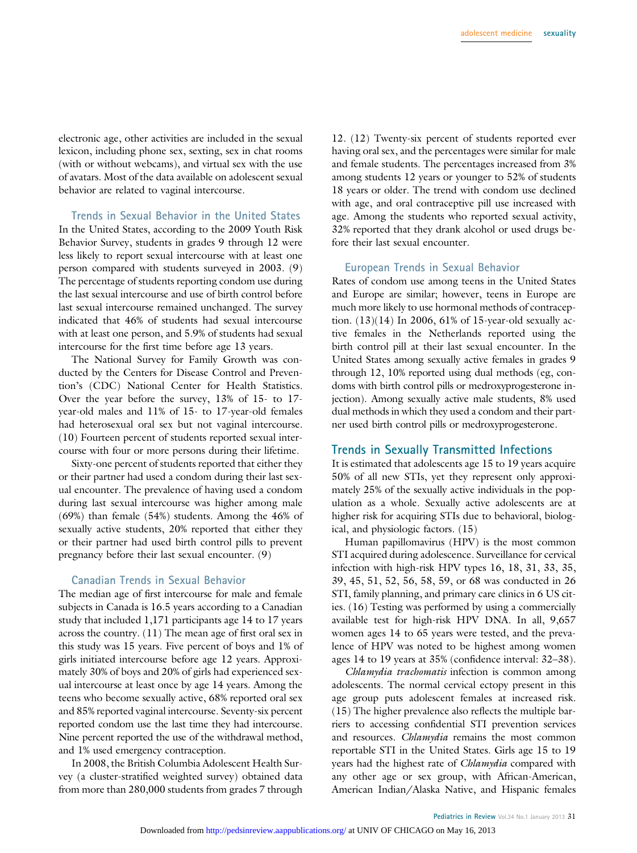electronic age, other activities are included in the sexual lexicon, including phone sex, sexting, sex in chat rooms (with or without webcams), and virtual sex with the use of avatars. Most of the data available on adolescent sexual behavior are related to vaginal intercourse.

Trends in Sexual Behavior in the United States In the United States, according to the 2009 Youth Risk Behavior Survey, students in grades 9 through 12 were less likely to report sexual intercourse with at least one person compared with students surveyed in 2003. (9) The percentage of students reporting condom use during the last sexual intercourse and use of birth control before last sexual intercourse remained unchanged. The survey indicated that 46% of students had sexual intercourse with at least one person, and 5.9% of students had sexual intercourse for the first time before age 13 years.

The National Survey for Family Growth was conducted by the Centers for Disease Control and Prevention's (CDC) National Center for Health Statistics. Over the year before the survey, 13% of 15- to 17 year-old males and 11% of 15- to 17-year-old females had heterosexual oral sex but not vaginal intercourse. (10) Fourteen percent of students reported sexual intercourse with four or more persons during their lifetime.

Sixty-one percent of students reported that either they or their partner had used a condom during their last sexual encounter. The prevalence of having used a condom during last sexual intercourse was higher among male (69%) than female (54%) students. Among the 46% of sexually active students, 20% reported that either they or their partner had used birth control pills to prevent pregnancy before their last sexual encounter. (9)

#### Canadian Trends in Sexual Behavior

The median age of first intercourse for male and female subjects in Canada is 16.5 years according to a Canadian study that included 1,171 participants age 14 to 17 years across the country. (11) The mean age of first oral sex in this study was 15 years. Five percent of boys and 1% of girls initiated intercourse before age 12 years. Approximately 30% of boys and 20% of girls had experienced sexual intercourse at least once by age 14 years. Among the teens who become sexually active, 68% reported oral sex and 85% reported vaginal intercourse. Seventy-six percent reported condom use the last time they had intercourse. Nine percent reported the use of the withdrawal method, and 1% used emergency contraception.

In 2008, the British Columbia Adolescent Health Survey (a cluster-stratified weighted survey) obtained data from more than 280,000 students from grades 7 through

12. (12) Twenty-six percent of students reported ever having oral sex, and the percentages were similar for male and female students. The percentages increased from 3% among students 12 years or younger to 52% of students 18 years or older. The trend with condom use declined with age, and oral contraceptive pill use increased with age. Among the students who reported sexual activity, 32% reported that they drank alcohol or used drugs before their last sexual encounter.

#### European Trends in Sexual Behavior

Rates of condom use among teens in the United States and Europe are similar; however, teens in Europe are much more likely to use hormonal methods of contraception. (13)(14) In 2006, 61% of 15-year-old sexually active females in the Netherlands reported using the birth control pill at their last sexual encounter. In the United States among sexually active females in grades 9 through 12, 10% reported using dual methods (eg, condoms with birth control pills or medroxyprogesterone injection). Among sexually active male students, 8% used dual methods in which they used a condom and their partner used birth control pills or medroxyprogesterone.

#### Trends in Sexually Transmitted Infections

It is estimated that adolescents age 15 to 19 years acquire 50% of all new STIs, yet they represent only approximately 25% of the sexually active individuals in the population as a whole. Sexually active adolescents are at higher risk for acquiring STIs due to behavioral, biological, and physiologic factors. (15)

Human papillomavirus (HPV) is the most common STI acquired during adolescence. Surveillance for cervical infection with high-risk HPV types 16, 18, 31, 33, 35, 39, 45, 51, 52, 56, 58, 59, or 68 was conducted in 26 STI, family planning, and primary care clinics in 6 US cities. (16) Testing was performed by using a commercially available test for high-risk HPV DNA. In all, 9,657 women ages 14 to 65 years were tested, and the prevalence of HPV was noted to be highest among women ages 14 to 19 years at 35% (confidence interval: 32–38).

Chlamydia trachomatis infection is common among adolescents. The normal cervical ectopy present in this age group puts adolescent females at increased risk. (15) The higher prevalence also reflects the multiple barriers to accessing confidential STI prevention services and resources. Chlamydia remains the most common reportable STI in the United States. Girls age 15 to 19 years had the highest rate of *Chlamydia* compared with any other age or sex group, with African-American, American Indian/Alaska Native, and Hispanic females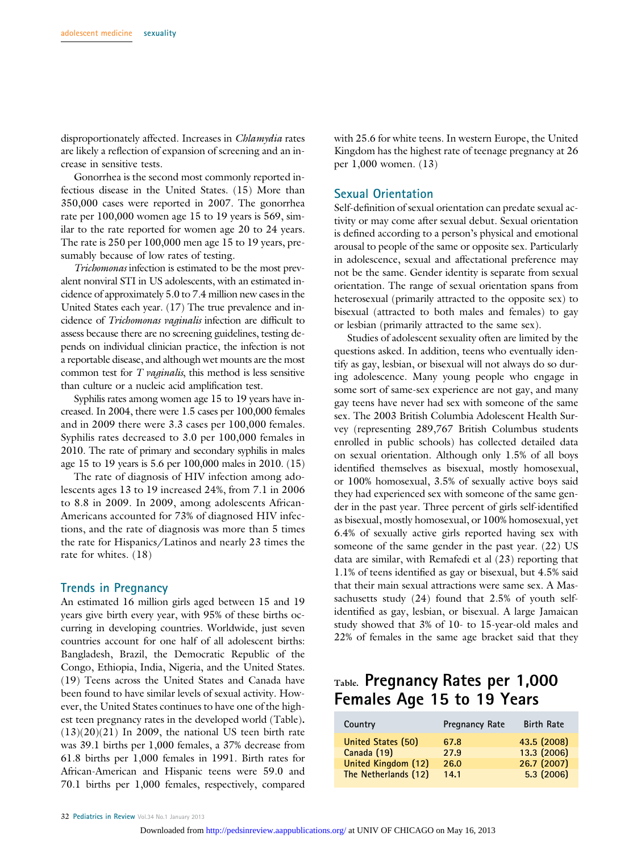disproportionately affected. Increases in Chlamydia rates are likely a reflection of expansion of screening and an increase in sensitive tests.

Gonorrhea is the second most commonly reported infectious disease in the United States. (15) More than 350,000 cases were reported in 2007. The gonorrhea rate per 100,000 women age 15 to 19 years is 569, similar to the rate reported for women age 20 to 24 years. The rate is 250 per 100,000 men age 15 to 19 years, presumably because of low rates of testing.

Trichomonas infection is estimated to be the most prevalent nonviral STI in US adolescents, with an estimated incidence of approximately 5.0 to 7.4 million new cases in the United States each year. (17) The true prevalence and incidence of Trichomonas vaginalis infection are difficult to assess because there are no screening guidelines, testing depends on individual clinician practice, the infection is not a reportable disease, and although wet mounts are the most common test for T vaginalis, this method is less sensitive than culture or a nucleic acid amplification test.

Syphilis rates among women age 15 to 19 years have increased. In 2004, there were 1.5 cases per 100,000 females and in 2009 there were 3.3 cases per 100,000 females. Syphilis rates decreased to 3.0 per 100,000 females in 2010. The rate of primary and secondary syphilis in males age 15 to 19 years is 5.6 per 100,000 males in 2010. (15)

The rate of diagnosis of HIV infection among adolescents ages 13 to 19 increased 24%, from 7.1 in 2006 to 8.8 in 2009. In 2009, among adolescents African-Americans accounted for 73% of diagnosed HIV infections, and the rate of diagnosis was more than 5 times the rate for Hispanics/Latinos and nearly 23 times the rate for whites. (18)

#### Trends in Pregnancy

An estimated 16 million girls aged between 15 and 19 years give birth every year, with 95% of these births occurring in developing countries. Worldwide, just seven countries account for one half of all adolescent births: Bangladesh, Brazil, the Democratic Republic of the Congo, Ethiopia, India, Nigeria, and the United States. (19) Teens across the United States and Canada have been found to have similar levels of sexual activity. However, the United States continues to have one of the highest teen pregnancy rates in the developed world (Table).  $(13)(20)(21)$  In 2009, the national US teen birth rate was 39.1 births per 1,000 females, a 37% decrease from 61.8 births per 1,000 females in 1991. Birth rates for African-American and Hispanic teens were 59.0 and 70.1 births per 1,000 females, respectively, compared with 25.6 for white teens. In western Europe, the United Kingdom has the highest rate of teenage pregnancy at 26 per 1,000 women. (13)

#### Sexual Orientation

Self-definition of sexual orientation can predate sexual activity or may come after sexual debut. Sexual orientation is defined according to a person's physical and emotional arousal to people of the same or opposite sex. Particularly in adolescence, sexual and affectational preference may not be the same. Gender identity is separate from sexual orientation. The range of sexual orientation spans from heterosexual (primarily attracted to the opposite sex) to bisexual (attracted to both males and females) to gay or lesbian (primarily attracted to the same sex).

Studies of adolescent sexuality often are limited by the questions asked. In addition, teens who eventually identify as gay, lesbian, or bisexual will not always do so during adolescence. Many young people who engage in some sort of same-sex experience are not gay, and many gay teens have never had sex with someone of the same sex. The 2003 British Columbia Adolescent Health Survey (representing 289,767 British Columbus students enrolled in public schools) has collected detailed data on sexual orientation. Although only 1.5% of all boys identified themselves as bisexual, mostly homosexual, or 100% homosexual, 3.5% of sexually active boys said they had experienced sex with someone of the same gender in the past year. Three percent of girls self-identified as bisexual, mostly homosexual, or 100% homosexual, yet 6.4% of sexually active girls reported having sex with someone of the same gender in the past year. (22) US data are similar, with Remafedi et al (23) reporting that 1.1% of teens identified as gay or bisexual, but 4.5% said that their main sexual attractions were same sex. A Massachusetts study (24) found that 2.5% of youth selfidentified as gay, lesbian, or bisexual. A large Jamaican study showed that 3% of 10- to 15-year-old males and 22% of females in the same age bracket said that they

## Table. Pregnancy Rates per 1,000<br>Females Age 15 to 19 Years

| --                                |                       |                            |
|-----------------------------------|-----------------------|----------------------------|
| Country                           | <b>Pregnancy Rate</b> | <b>Birth Rate</b>          |
| United States (50)<br>Canada (19) | 67.8<br>27.9          | 43.5 (2008)<br>13.3 (2006) |
| United Kingdom (12)               | 26.0                  | 26.7 (2007)                |
| The Netherlands (12)              | 14.1                  | 5.3(2006)                  |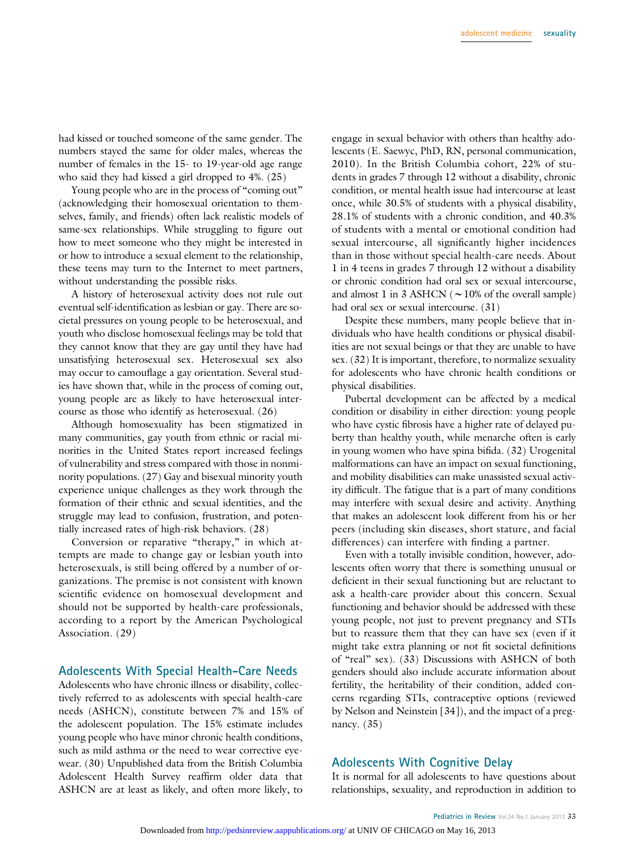had kissed or touched someone of the same gender. The numbers stayed the same for older males, whereas the number of females in the 15- to 19-year-old age range who said they had kissed a girl dropped to 4%. (25)

Young people who are in the process of "coming out" (acknowledging their homosexual orientation to themselves, family, and friends) often lack realistic models of same-sex relationships. While struggling to figure out how to meet someone who they might be interested in or how to introduce a sexual element to the relationship, these teens may turn to the Internet to meet partners, without understanding the possible risks.

A history of heterosexual activity does not rule out eventual self-identification as lesbian or gay. There are societal pressures on young people to be heterosexual, and youth who disclose homosexual feelings may be told that they cannot know that they are gay until they have had unsatisfying heterosexual sex. Heterosexual sex also may occur to camouflage a gay orientation. Several studies have shown that, while in the process of coming out, young people are as likely to have heterosexual intercourse as those who identify as heterosexual. (26)

Although homosexuality has been stigmatized in many communities, gay youth from ethnic or racial minorities in the United States report increased feelings of vulnerability and stress compared with those in nonminority populations. (27) Gay and bisexual minority youth experience unique challenges as they work through the formation of their ethnic and sexual identities, and the struggle may lead to confusion, frustration, and potentially increased rates of high-risk behaviors. (28)

Conversion or reparative "therapy," in which attempts are made to change gay or lesbian youth into heterosexuals, is still being offered by a number of organizations. The premise is not consistent with known scientific evidence on homosexual development and should not be supported by health-care professionals, according to a report by the American Psychological Association. (29)

#### Adolescents With Special Health-Care Needs

Adolescents who have chronic illness or disability, collectively referred to as adolescents with special health-care needs (ASHCN), constitute between 7% and 15% of the adolescent population. The 15% estimate includes young people who have minor chronic health conditions, such as mild asthma or the need to wear corrective eyewear. (30) Unpublished data from the British Columbia Adolescent Health Survey reaffirm older data that ASHCN are at least as likely, and often more likely, to

engage in sexual behavior with others than healthy adolescents (E. Saewyc, PhD, RN, personal communication, 2010). In the British Columbia cohort, 22% of students in grades 7 through 12 without a disability, chronic condition, or mental health issue had intercourse at least once, while 30.5% of students with a physical disability, 28.1% of students with a chronic condition, and 40.3% of students with a mental or emotional condition had sexual intercourse, all significantly higher incidences than in those without special health-care needs. About 1 in 4 teens in grades 7 through 12 without a disability or chronic condition had oral sex or sexual intercourse, and almost 1 in 3 ASHCN ( $\sim$  10% of the overall sample) had oral sex or sexual intercourse. (31)

Despite these numbers, many people believe that individuals who have health conditions or physical disabilities are not sexual beings or that they are unable to have sex. (32) It is important, therefore, to normalize sexuality for adolescents who have chronic health conditions or physical disabilities.

Pubertal development can be affected by a medical condition or disability in either direction: young people who have cystic fibrosis have a higher rate of delayed puberty than healthy youth, while menarche often is early in young women who have spina bifida. (32) Urogenital malformations can have an impact on sexual functioning, and mobility disabilities can make unassisted sexual activity difficult. The fatigue that is a part of many conditions may interfere with sexual desire and activity. Anything that makes an adolescent look different from his or her peers (including skin diseases, short stature, and facial differences) can interfere with finding a partner.

Even with a totally invisible condition, however, adolescents often worry that there is something unusual or deficient in their sexual functioning but are reluctant to ask a health-care provider about this concern. Sexual functioning and behavior should be addressed with these young people, not just to prevent pregnancy and STIs but to reassure them that they can have sex (even if it might take extra planning or not fit societal definitions of "real" sex). (33) Discussions with ASHCN of both genders should also include accurate information about fertility, the heritability of their condition, added concerns regarding STIs, contraceptive options (reviewed by Nelson and Neinstein [34]), and the impact of a pregnancy. (35)

#### Adolescents With Cognitive Delay

It is normal for all adolescents to have questions about relationships, sexuality, and reproduction in addition to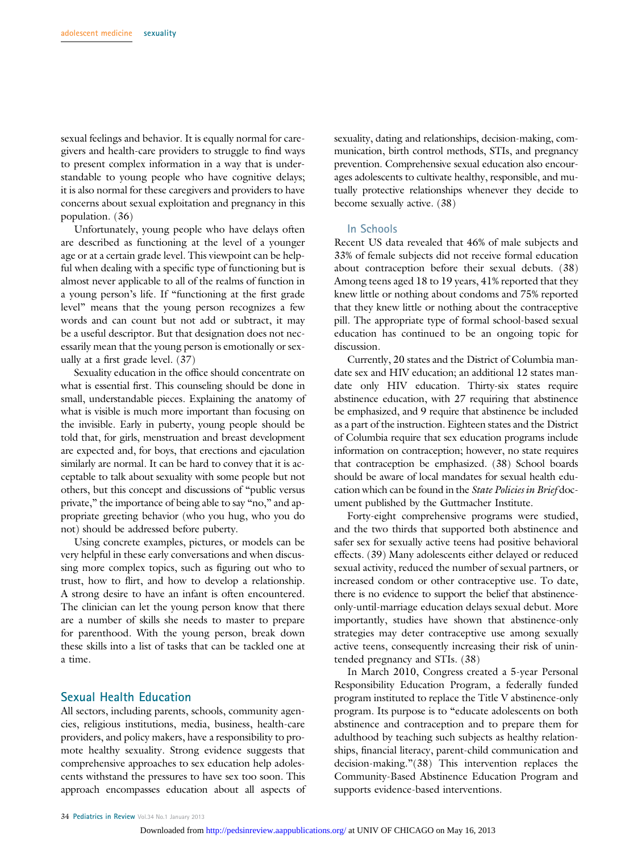sexual feelings and behavior. It is equally normal for caregivers and health-care providers to struggle to find ways to present complex information in a way that is understandable to young people who have cognitive delays; it is also normal for these caregivers and providers to have concerns about sexual exploitation and pregnancy in this population. (36)

Unfortunately, young people who have delays often are described as functioning at the level of a younger age or at a certain grade level. This viewpoint can be helpful when dealing with a specific type of functioning but is almost never applicable to all of the realms of function in a young person's life. If "functioning at the first grade level" means that the young person recognizes a few words and can count but not add or subtract, it may be a useful descriptor. But that designation does not necessarily mean that the young person is emotionally or sexually at a first grade level. (37)

Sexuality education in the office should concentrate on what is essential first. This counseling should be done in small, understandable pieces. Explaining the anatomy of what is visible is much more important than focusing on the invisible. Early in puberty, young people should be told that, for girls, menstruation and breast development are expected and, for boys, that erections and ejaculation similarly are normal. It can be hard to convey that it is acceptable to talk about sexuality with some people but not others, but this concept and discussions of "public versus private," the importance of being able to say "no," and appropriate greeting behavior (who you hug, who you do not) should be addressed before puberty.

Using concrete examples, pictures, or models can be very helpful in these early conversations and when discussing more complex topics, such as figuring out who to trust, how to flirt, and how to develop a relationship. A strong desire to have an infant is often encountered. The clinician can let the young person know that there are a number of skills she needs to master to prepare for parenthood. With the young person, break down these skills into a list of tasks that can be tackled one at a time.

#### Sexual Health Education

All sectors, including parents, schools, community agencies, religious institutions, media, business, health-care providers, and policy makers, have a responsibility to promote healthy sexuality. Strong evidence suggests that comprehensive approaches to sex education help adolescents withstand the pressures to have sex too soon. This approach encompasses education about all aspects of sexuality, dating and relationships, decision-making, communication, birth control methods, STIs, and pregnancy prevention. Comprehensive sexual education also encourages adolescents to cultivate healthy, responsible, and mutually protective relationships whenever they decide to become sexually active. (38)

#### In Schools

Recent US data revealed that 46% of male subjects and 33% of female subjects did not receive formal education about contraception before their sexual debuts. (38) Among teens aged 18 to 19 years, 41% reported that they knew little or nothing about condoms and 75% reported that they knew little or nothing about the contraceptive pill. The appropriate type of formal school-based sexual education has continued to be an ongoing topic for discussion.

Currently, 20 states and the District of Columbia mandate sex and HIV education; an additional 12 states mandate only HIV education. Thirty-six states require abstinence education, with 27 requiring that abstinence be emphasized, and 9 require that abstinence be included as a part of the instruction. Eighteen states and the District of Columbia require that sex education programs include information on contraception; however, no state requires that contraception be emphasized. (38) School boards should be aware of local mandates for sexual health education which can be found in the State Policies in Brief document published by the Guttmacher Institute.

Forty-eight comprehensive programs were studied, and the two thirds that supported both abstinence and safer sex for sexually active teens had positive behavioral effects. (39) Many adolescents either delayed or reduced sexual activity, reduced the number of sexual partners, or increased condom or other contraceptive use. To date, there is no evidence to support the belief that abstinenceonly-until-marriage education delays sexual debut. More importantly, studies have shown that abstinence-only strategies may deter contraceptive use among sexually active teens, consequently increasing their risk of unintended pregnancy and STIs. (38)

In March 2010, Congress created a 5-year Personal Responsibility Education Program, a federally funded program instituted to replace the Title V abstinence-only program. Its purpose is to "educate adolescents on both abstinence and contraception and to prepare them for adulthood by teaching such subjects as healthy relationships, financial literacy, parent-child communication and decision-making."(38) This intervention replaces the Community-Based Abstinence Education Program and supports evidence-based interventions.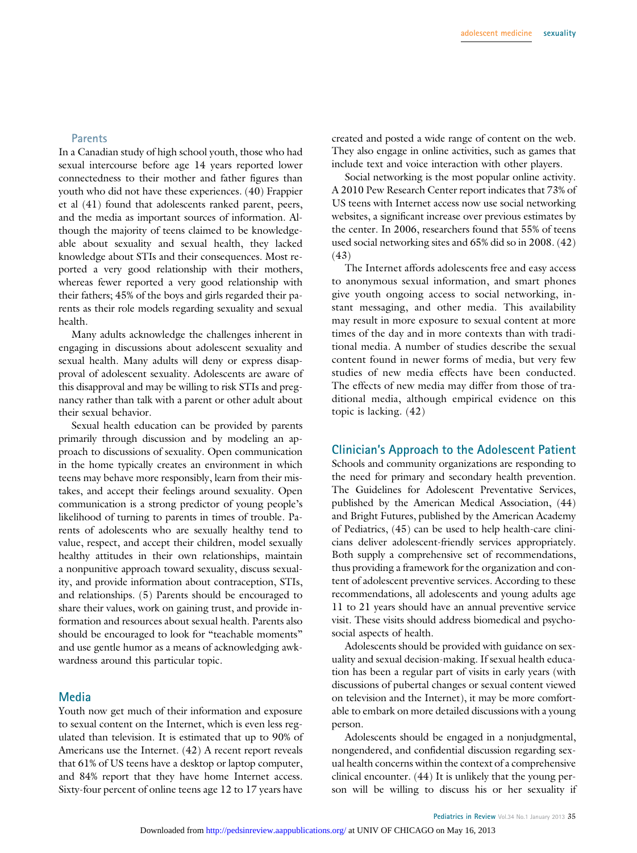#### Parents

In a Canadian study of high school youth, those who had sexual intercourse before age 14 years reported lower connectedness to their mother and father figures than youth who did not have these experiences. (40) Frappier et al (41) found that adolescents ranked parent, peers, and the media as important sources of information. Although the majority of teens claimed to be knowledgeable about sexuality and sexual health, they lacked knowledge about STIs and their consequences. Most reported a very good relationship with their mothers, whereas fewer reported a very good relationship with their fathers; 45% of the boys and girls regarded their parents as their role models regarding sexuality and sexual health.

Many adults acknowledge the challenges inherent in engaging in discussions about adolescent sexuality and sexual health. Many adults will deny or express disapproval of adolescent sexuality. Adolescents are aware of this disapproval and may be willing to risk STIs and pregnancy rather than talk with a parent or other adult about their sexual behavior.

Sexual health education can be provided by parents primarily through discussion and by modeling an approach to discussions of sexuality. Open communication in the home typically creates an environment in which teens may behave more responsibly, learn from their mistakes, and accept their feelings around sexuality. Open communication is a strong predictor of young people's likelihood of turning to parents in times of trouble. Parents of adolescents who are sexually healthy tend to value, respect, and accept their children, model sexually healthy attitudes in their own relationships, maintain a nonpunitive approach toward sexuality, discuss sexuality, and provide information about contraception, STIs, and relationships. (5) Parents should be encouraged to share their values, work on gaining trust, and provide information and resources about sexual health. Parents also should be encouraged to look for "teachable moments" and use gentle humor as a means of acknowledging awkwardness around this particular topic.

#### Media

Youth now get much of their information and exposure to sexual content on the Internet, which is even less regulated than television. It is estimated that up to 90% of Americans use the Internet. (42) A recent report reveals that 61% of US teens have a desktop or laptop computer, and 84% report that they have home Internet access. Sixty-four percent of online teens age 12 to 17 years have

created and posted a wide range of content on the web. They also engage in online activities, such as games that include text and voice interaction with other players.

Social networking is the most popular online activity. A 2010 Pew Research Center report indicates that 73% of US teens with Internet access now use social networking websites, a significant increase over previous estimates by the center. In 2006, researchers found that 55% of teens used social networking sites and 65% did so in 2008. (42) (43)

The Internet affords adolescents free and easy access to anonymous sexual information, and smart phones give youth ongoing access to social networking, instant messaging, and other media. This availability may result in more exposure to sexual content at more times of the day and in more contexts than with traditional media. A number of studies describe the sexual content found in newer forms of media, but very few studies of new media effects have been conducted. The effects of new media may differ from those of traditional media, although empirical evidence on this topic is lacking. (42)

#### Clinician's Approach to the Adolescent Patient

Schools and community organizations are responding to the need for primary and secondary health prevention. The Guidelines for Adolescent Preventative Services, published by the American Medical Association, (44) and Bright Futures, published by the American Academy of Pediatrics, (45) can be used to help health-care clinicians deliver adolescent-friendly services appropriately. Both supply a comprehensive set of recommendations, thus providing a framework for the organization and content of adolescent preventive services. According to these recommendations, all adolescents and young adults age 11 to 21 years should have an annual preventive service visit. These visits should address biomedical and psychosocial aspects of health.

Adolescents should be provided with guidance on sexuality and sexual decision-making. If sexual health education has been a regular part of visits in early years (with discussions of pubertal changes or sexual content viewed on television and the Internet), it may be more comfortable to embark on more detailed discussions with a young person.

Adolescents should be engaged in a nonjudgmental, nongendered, and confidential discussion regarding sexual health concerns within the context of a comprehensive clinical encounter. (44) It is unlikely that the young person will be willing to discuss his or her sexuality if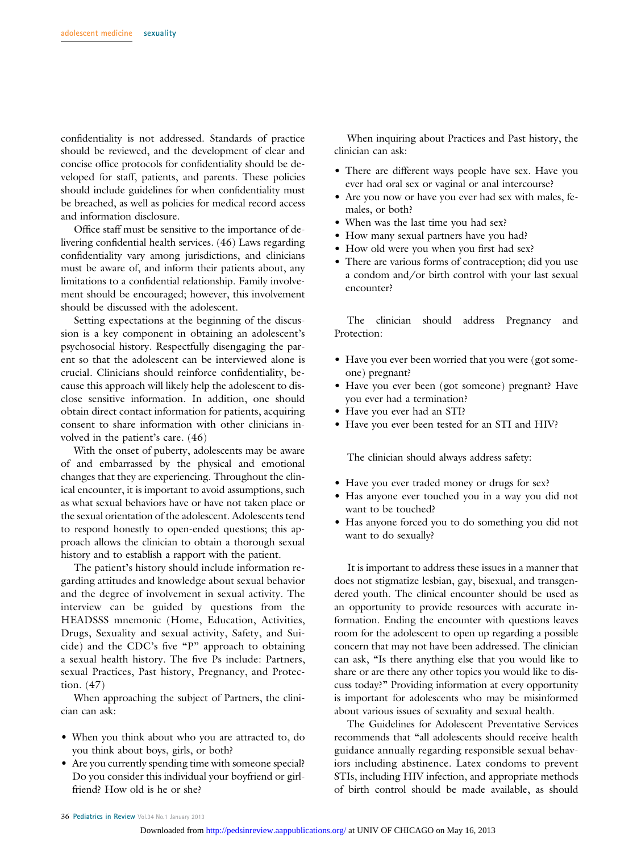confidentiality is not addressed. Standards of practice should be reviewed, and the development of clear and concise office protocols for confidentiality should be developed for staff, patients, and parents. These policies should include guidelines for when confidentiality must be breached, as well as policies for medical record access and information disclosure.

Office staff must be sensitive to the importance of delivering confidential health services. (46) Laws regarding confidentiality vary among jurisdictions, and clinicians must be aware of, and inform their patients about, any limitations to a confidential relationship. Family involvement should be encouraged; however, this involvement should be discussed with the adolescent.

Setting expectations at the beginning of the discussion is a key component in obtaining an adolescent's psychosocial history. Respectfully disengaging the parent so that the adolescent can be interviewed alone is crucial. Clinicians should reinforce confidentiality, because this approach will likely help the adolescent to disclose sensitive information. In addition, one should obtain direct contact information for patients, acquiring consent to share information with other clinicians involved in the patient's care. (46)

With the onset of puberty, adolescents may be aware of and embarrassed by the physical and emotional changes that they are experiencing. Throughout the clinical encounter, it is important to avoid assumptions, such as what sexual behaviors have or have not taken place or the sexual orientation of the adolescent. Adolescents tend to respond honestly to open-ended questions; this approach allows the clinician to obtain a thorough sexual history and to establish a rapport with the patient.

The patient's history should include information regarding attitudes and knowledge about sexual behavior and the degree of involvement in sexual activity. The interview can be guided by questions from the HEADSSS mnemonic (Home, Education, Activities, Drugs, Sexuality and sexual activity, Safety, and Suicide) and the CDC's five "P" approach to obtaining a sexual health history. The five Ps include: Partners, sexual Practices, Past history, Pregnancy, and Protection. (47)

When approaching the subject of Partners, the clinician can ask:

- When you think about who you are attracted to, do you think about boys, girls, or both?
- Are you currently spending time with someone special? Do you consider this individual your boyfriend or girlfriend? How old is he or she?

When inquiring about Practices and Past history, the clinician can ask:

- There are different ways people have sex. Have you ever had oral sex or vaginal or anal intercourse?
- Are you now or have you ever had sex with males, females, or both?
- When was the last time you had sex?
- How many sexual partners have you had?
- How old were you when you first had sex?
- There are various forms of contraception; did you use a condom and/or birth control with your last sexual encounter?

The clinician should address Pregnancy and Protection:

- Have you ever been worried that you were (got someone) pregnant?
- Have you ever been (got someone) pregnant? Have you ever had a termination?
- Have you ever had an STI?
- Have you ever been tested for an STI and HIV?

The clinician should always address safety:

- Have you ever traded money or drugs for sex?
- Has anyone ever touched you in a way you did not want to be touched?
- Has anyone forced you to do something you did not want to do sexually?

It is important to address these issues in a manner that does not stigmatize lesbian, gay, bisexual, and transgendered youth. The clinical encounter should be used as an opportunity to provide resources with accurate information. Ending the encounter with questions leaves room for the adolescent to open up regarding a possible concern that may not have been addressed. The clinician can ask, "Is there anything else that you would like to share or are there any other topics you would like to discuss today?" Providing information at every opportunity is important for adolescents who may be misinformed about various issues of sexuality and sexual health.

The Guidelines for Adolescent Preventative Services recommends that "all adolescents should receive health guidance annually regarding responsible sexual behaviors including abstinence. Latex condoms to prevent STIs, including HIV infection, and appropriate methods of birth control should be made available, as should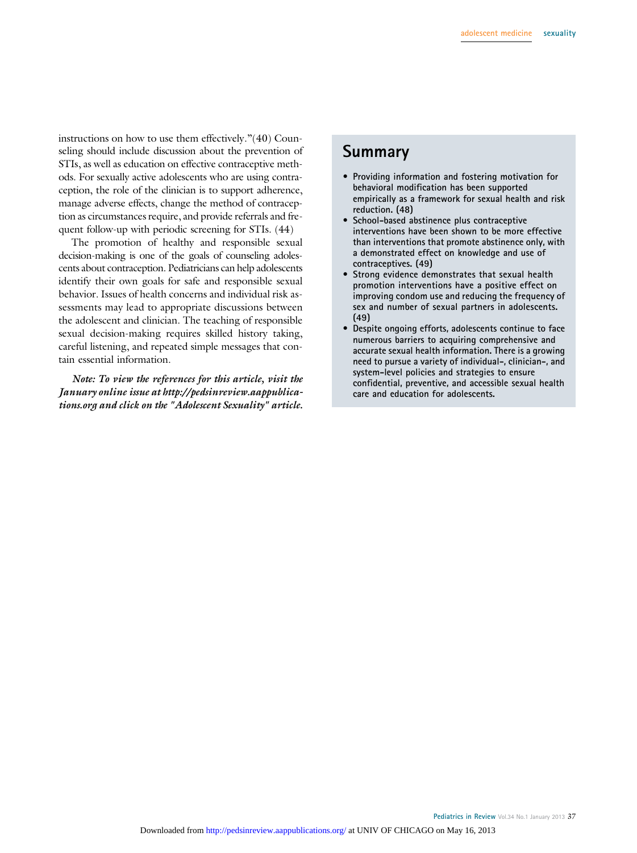instructions on how to use them effectively."(40) Counseling should include discussion about the prevention of STIs, as well as education on effective contraceptive methods. For sexually active adolescents who are using contraception, the role of the clinician is to support adherence, manage adverse effects, change the method of contraception as circumstances require, and provide referrals and frequent follow-up with periodic screening for STIs. (44)

The promotion of healthy and responsible sexual decision-making is one of the goals of counseling adolescents about contraception. Pediatricians can help adolescents identify their own goals for safe and responsible sexual behavior. Issues of health concerns and individual risk assessments may lead to appropriate discussions between the adolescent and clinician. The teaching of responsible sexual decision-making requires skilled history taking, careful listening, and repeated simple messages that contain essential information.

Note: To view the references for this article, visit the January online issue at [http://pedsinreview.aappublica](http://pedsinreview.aappublications.org)[tions.org](http://pedsinreview.aappublications.org) and click on the "Adolescent Sexuality" article.

- Providing information and fostering motivation for behavioral modification has been supported empirically as a framework for sexual health and risk reduction. (48)
- School-based abstinence plus contraceptive interventions have been shown to be more effective than interventions that promote abstinence only, with a demonstrated effect on knowledge and use of contraceptives. (49)
- Strong evidence demonstrates that sexual health promotion interventions have a positive effect on improving condom use and reducing the frequency of sex and number of sexual partners in adolescents. (49)
- Despite ongoing efforts, adolescents continue to face numerous barriers to acquiring comprehensive and accurate sexual health information. There is a growing need to pursue a variety of individual-, clinician-, and system-level policies and strategies to ensure confidential, preventive, and accessible sexual health care and education for adolescents.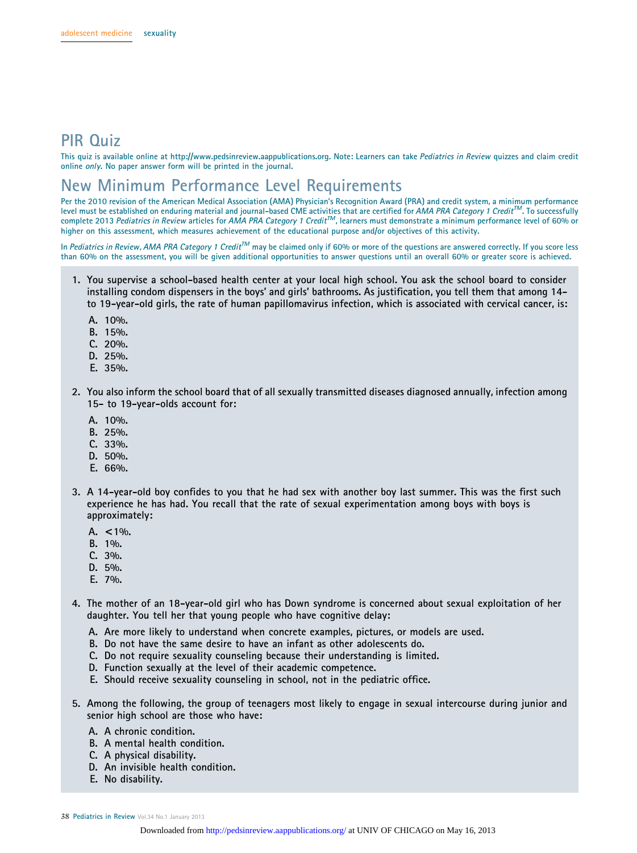#### PIR Quiz

This quiz is available online at<http://www.pedsinreview.aappublications.org>. Note: Learners can take Pediatrics in Review quizzes and claim credit online only. No paper answer form will be printed in the journal.

#### New Minimum Performance Level Requirements

Per the 2010 revision of the American Medical Association (AMA) Physician's Recognition Award (PRA) and credit system, a minimum performance level must be established on enduring material and journal–based CME activities that are certified for AMA PRA Category 1 Credit™. To successfully complete 2013 Pediatrics in Review articles for AMA PRA Category 1 Credit<sup>TM</sup>, learners must demonstrate a minimum performance level of 60% or higher on this assessment, which measures achievement of the educational purpose and/or objectives of this activity.

In Pediatrics in Review, AMA PRA Category 1 Credit<sup>TM</sup> may be claimed only if 60% or more of the questions are answered correctly. If you score less than 60% on the assessment, you will be given additional opportunities to answer questions until an overall 60% or greater score is achieved.

- 1. You supervise a school-based health center at your local high school. You ask the school board to consider installing condom dispensers in the boys' and girls' bathrooms. As justification, you tell them that among 14 to 19-year-old girls, the rate of human papillomavirus infection, which is associated with cervical cancer, is:
	- A. 10%.
	- B. 15%.
	- C. 20%.
	- D. 25%.
	- E. 35%.
- 2. You also inform the school board that of all sexually transmitted diseases diagnosed annually, infection among 15- to 19-year-olds account for:
	- A. 10%.
	- B. 25%.
	- C. 33%.
	- D. 50%.
	- E. 66%.
- 3. A 14-year-old boy confides to you that he had sex with another boy last summer. This was the first such experience he has had. You recall that the rate of sexual experimentation among boys with boys is approximately:
	- A.  $< 1\%$ .
	- B. 1%.
	- C. 3%.
	- D. 5%.
	- E. 7%.
- 4. The mother of an 18-year-old girl who has Down syndrome is concerned about sexual exploitation of her daughter. You tell her that young people who have cognitive delay:
	- A. Are more likely to understand when concrete examples, pictures, or models are used.
	- B. Do not have the same desire to have an infant as other adolescents do.
	- C. Do not require sexuality counseling because their understanding is limited.
	- D. Function sexually at the level of their academic competence.
	- E. Should receive sexuality counseling in school, not in the pediatric office.
- 5. Among the following, the group of teenagers most likely to engage in sexual intercourse during junior and senior high school are those who have:
	- A. A chronic condition.
	- B. A mental health condition.
	- C. A physical disability.
	- D. An invisible health condition.
	- E. No disability.